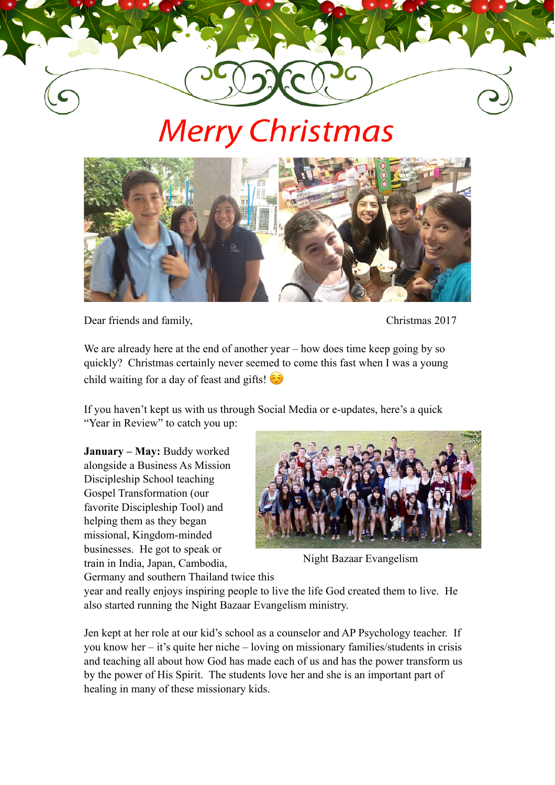## **Merry Christmas**



Dear friends and family, Christmas 2017

We are already here at the end of another year – how does time keep going by so quickly? Christmas certainly never seemed to come this fast when I was a young child waiting for a day of feast and gifts!

If you haven't kept us with us through Social Media or e-updates, here's a quick "Year in Review" to catch you up:

**January – May:** Buddy worked alongside a Business As Mission Discipleship School teaching Gospel Transformation (our favorite Discipleship Tool) and helping them as they began missional, Kingdom-minded businesses. He got to speak or train in India, Japan, Cambodia,

Germany and southern Thailand twice this



Night Bazaar Evangelism

year and really enjoys inspiring people to live the life God created them to live. He also started running the Night Bazaar Evangelism ministry.

Jen kept at her role at our kid's school as a counselor and AP Psychology teacher. If you know her – it's quite her niche – loving on missionary families/students in crisis and teaching all about how God has made each of us and has the power transform us by the power of His Spirit. The students love her and she is an important part of healing in many of these missionary kids.